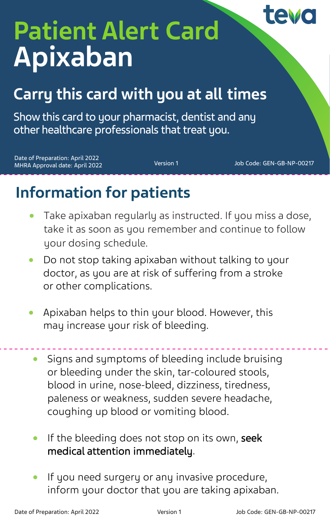## tevc

# **Patient Alert Card Apixaban**

### **Carry this card with you at all times**

Show this card to your pharmacist, dentist and any other healthcare professionals that treat you.

Date of Preparation: April 2022 MHRA Approval date: April 2022 Version 1 Job Code: GEN-GB-NP-00217

### **Information for patients**

- Take apixaban regularly as instructed. If you miss a dose, take it as soon as you remember and continue to follow your dosing schedule.
- Do not stop taking apixaban without talking to your doctor, as you are at risk of suffering from a stroke or other complications.
- Apixaban helps to thin your blood. However, this may increase your risk of bleeding.
	- Signs and symptoms of bleeding include bruising or bleeding under the skin, tar-coloured stools, blood in urine, nose-bleed, dizziness, tiredness, paleness or weakness, sudden severe headache, coughing up blood or vomiting blood.
	- If the bleeding does not stop on its own, seek medical attention immediately.
	- If you need surgery or any invasive procedure, inform your doctor that you are taking apixaban.